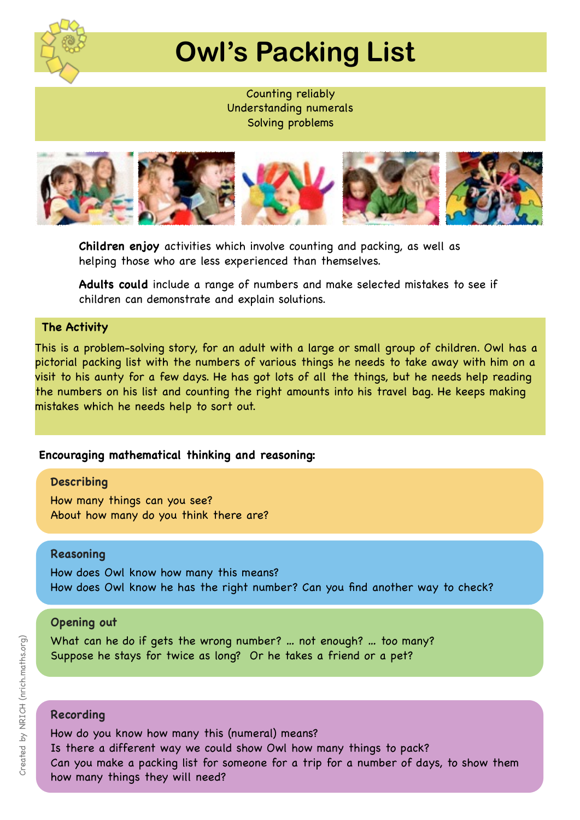

# **Owl's Packing List**

Counting reliably Understanding numerals Solving problems



**Children enjoy** activities which involve counting and packing, as well as helping those who are less experienced than themselves.

**Adults could** include a range of numbers and make selected mistakes to see if children can demonstrate and explain solutions.

### **The Activity**

This is a problem-solving story, for an adult with a large or small group of children. Owl has a pictorial packing list with the numbers of various things he needs to take away with him on a visit to his aunty for a few days. He has got lots of all the things, but he needs help reading the numbers on his list and counting the right amounts into his travel bag. He keeps making mistakes which he needs help to sort out.

### **Encouraging mathematical thinking and reasoning:**

### **Describing**

How many things can you see? About how many do you think there are?

### **Reasoning**

How does Owl know how many this means? How does Owl know he has the right number? Can you find another way to check?

### **Opening out**

What can he do if gets the wrong number? … not enough? … too many? Suppose he stays for twice as long? Or he takes a friend or a pet?

### **Recording**

How do you know how many this (numeral) means? Is there a different way we could show Owl how many things to pack? Can you make a packing list for someone for a trip for a number of days, to show them how many things they will need?